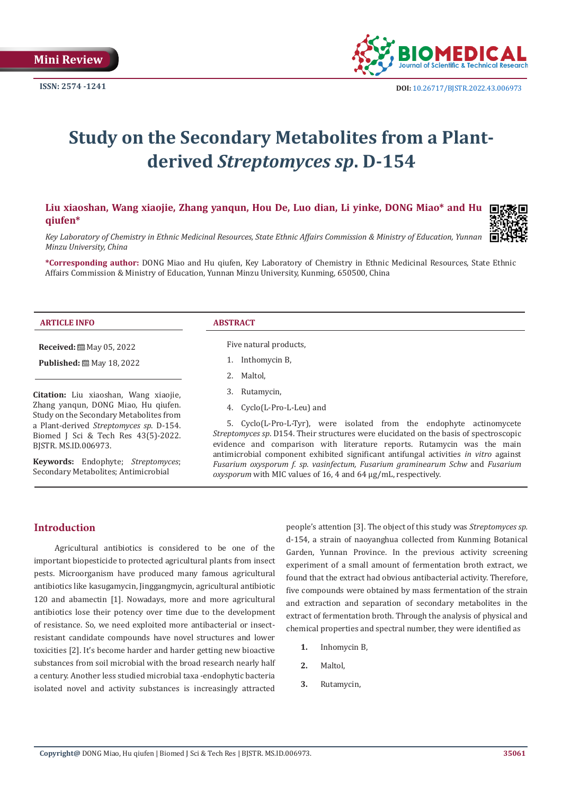

# **Study on the Secondary Metabolites from a Plantderived** *Streptomyces sp***. D-154**

# **Liu xiaoshan, Wang xiaojie, Zhang yanqun, Hou De, Luo dian, Li yinke, DONG Miao\* and Hu qiufen\***



*Key Laboratory of Chemistry in Ethnic Medicinal Resources, State Ethnic Affairs Commission & Ministry of Education, Yunnan Minzu University, China*

**\*Corresponding author:** DONG Miao and Hu qiufen, Key Laboratory of Chemistry in Ethnic Medicinal Resources, State Ethnic Affairs Commission & Ministry of Education, Yunnan Minzu University, Kunming, 650500, China

#### **ARTICLE INFO ABSTRACT**

**Received:** 圖 May 05, 2022

**Published:** ■ May 18, 2022

**Citation:** Liu xiaoshan, Wang xiaojie, Zhang yanqun, DONG Miao, Hu qiufen. Study on the Secondary Metabolites from a Plant-derived *Streptomyces sp*. D-154. Biomed J Sci & Tech Res 43(5)-2022. BJSTR. MS.ID.006973.

**Keywords:** Endophyte; *Streptomyces*; Secondary Metabolites; Antimicrobial

Five natural products,

- 1. Inthomycin B,
- 2. Maltol,
- 3. Rutamycin,
- 4. Cyclo(L-Pro-L-Leu) and

5. Cyclo(L-Pro-L-Tyr), were isolated from the endophyte actinomycete *Streptomyces sp*. D154. Their structures were elucidated on the basis of spectroscopic evidence and comparison with literature reports. Rutamycin was the main antimicrobial component exhibited significant antifungal activities *in vitro* against *Fusarium oxysporum f. sp. vasinfectum, Fusarium graminearum Schw* and *Fusarium oxysporum* with MIC values of 16, 4 and 64 μg/mL, respectively.

# **Introduction**

Agricultural antibiotics is considered to be one of the important biopesticide to protected agricultural plants from insect pests. Microorganism have produced many famous agricultural antibiotics like kasugamycin, Jinggangmycin, agricultural antibiotic 120 and abamectin [1]. Nowadays, more and more agricultural antibiotics lose their potency over time due to the development of resistance. So, we need exploited more antibacterial or insectresistant candidate compounds have novel structures and lower [toxicities](file:///F:/New%20Journals/BJSTR.MS.ID.006973/BJSTR-VAC-22-MRW-226_W/BJSTR-VAC-22-MRW-226_W/javascript:void(0);) [2]. It's become harder and harder getting new bioactive substances from soil microbial with the broad research nearly half a century. Another less studied microbial taxa -endophytic bacteria isolated novel and activity substances is increasingly attracted

people's attention [3]. The object of this study was *Streptomyces sp.* d-154, a strain of naoyanghua collected from Kunming Botanical Garden, Yunnan Province. In the previous activity screening experiment of a small amount of fermentation broth extract, we found that the extract had obvious antibacterial activity. Therefore, five compounds were obtained by mass fermentation of the strain and extraction and separation of secondary metabolites in the extract of fermentation broth. Through the analysis of physical and chemical properties and spectral number, they were identified as

- **1.** Inhomycin B,
- **2.** Maltol,
- **3.** Rutamycin,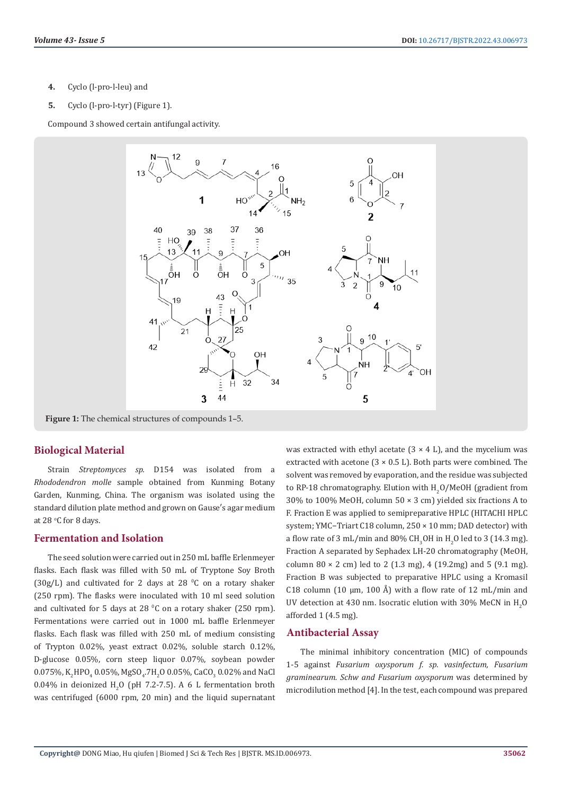- **4.** Cyclo (l-pro-l-leu) and
- **5.** Cyclo (l-pro-l-tyr) (Figure 1).

Compound 3 showed certain antifungal activity.



**Figure 1:** The chemical structures of compounds 1–5.

#### **Biological Material**

Strain *Streptomyces sp.* D154 was isolated from a *Rhododendron molle* sample obtained from Kunming Botany Garden, Kunming, China. The organism was isolated using the standard dilution plate method and grown on Gause′s agar medium at 28 °C for 8 days.

#### **Fermentation and Isolation**

The seed solution were carried out in 250 mL baffle Erlenmeyer flasks. Each flask was filled with 50 mL of Tryptone Soy Broth  $(30g/L)$  and cultivated for 2 days at 28  $^{\circ}$ C on a rotary shaker (250 rpm). The flasks were inoculated with 10 ml seed solution and cultivated for 5 days at 28  $°C$  on a rotary shaker (250 rpm). Fermentations were carried out in 1000 mL baffle Erlenmeyer flasks. Each flask was filled with 250 mL of medium consisting of Trypton 0.02%, yeast extract 0.02%, soluble starch 0.12%, D-glucose 0.05%, corn steep liquor 0.07%, soybean powder  $0.07$ 5%, K<sub>2</sub>HPO<sub>4</sub> 0.05%, MgSO<sub>4</sub>.7H<sub>2</sub>O 0.05%, CaCO<sub>3</sub> 0.02% and NaCl  $0.04\%$  in deionized  $H<sub>2</sub>O$  (pH 7.2-7.5). A 6 L fermentation broth was centrifuged (6000 rpm, 20 min) and the liquid supernatant

was extracted with ethyl acetate  $(3 \times 4 \text{ L})$ , and the mycelium was extracted with acetone  $(3 \times 0.5 \text{ L})$ . Both parts were combined. The solvent was removed by evaporation, and the residue was subjected to RP-18 chromatography. Elution with  $H_2O/M$ eOH (gradient from 30% to 100% MeOH, column 50 × 3 cm) yielded six fractions A to F. Fraction E was applied to semipreparative HPLC (HITACHI HPLC system; YMC−Triart C18 column, 250 × 10 mm; DAD detector) with a flow rate of 3 mL/min and 80% CH<sub>3</sub>OH in H<sub>2</sub>O led to 3 (14.3 mg). Fraction A separated by Sephadex LH-20 chromatography (MeOH, column  $80 \times 2$  cm) led to 2 (1.3 mg), 4 (19.2mg) and 5 (9.1 mg). Fraction B was subjected to preparative HPLC using a Kromasil C18 column (10  $\mu$ m, 100 Å) with a flow rate of 12 mL/min and UV detection at 430 nm. Isocratic elution with 30% MeCN in  $H_2O$ afforded 1 (4.5 mg).

#### **Antibacterial Assay**

The minimal inhibitory concentration (MIC) of compounds 1-5 against *Fusarium oxysporum f. sp. vasinfectum, Fusarium graminearum. Schw and Fusarium oxysporum* was determined by microdilution method [4]. In the test, each compound was prepared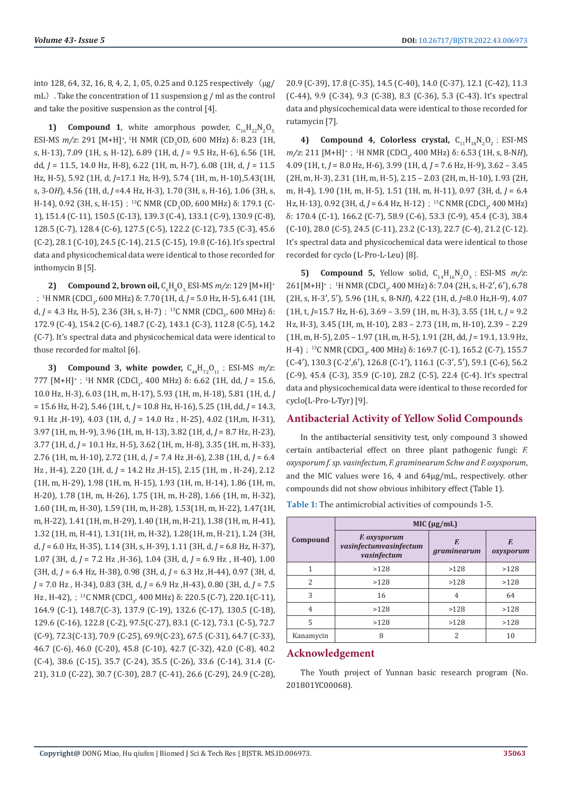into 128, 64, 32, 16, 8, 4, 2, 1, 05, 0.25 and 0.125 respectively  $(\mu g)$ mL). Take the concentration of 11 suspension g / ml as the control and take the positive suspension as the control [4].

**1) Compound 1**, white amorphous powder,  $C_{16}H_{22}N_2O_{3}$ ESI-MS *m/z*: 291 [M+H]<sup>+</sup>, <sup>1</sup>H NMR (CD<sub>3</sub>OD, 600 MHz) δ: 8.23 (1H, s, H-13), 7.09 (1H, s, H-12), 6.89 (1H, d, *J* = 9.5 Hz, H-6), 6.56 (1H, dd, *J* = 11.5, 14.0 Hz, H-8), 6.22 (1H, m, H-7), 6.08 (1H, d, *J* = 11.5 Hz, H-5), 5.92 (1H, d, *J*=17.1 Hz, H-9), 5.74 (1H, m, H-10),5.43(1H, s, 3-O*H*), 4.56 (1H, d, *J* =4.4 Hz, H-3), 1.70 (3H, s, H-16), 1.06 (3H, s, H-14), 0.92 (3H, s, H-15);<sup>13</sup>C NMR (CD<sub>3</sub>OD, 600 MHz) δ: 179.1 (C-1), 151.4 (C-11), 150.5 (C-13), 139.3 (C-4), 133.1 (C-9), 130.9 (C-8), 128.5 (C-7), 128.4 (C-6), 127.5 (C-5), 122.2 (C-12), 73.5 (C-3), 45.6 (C-2), 28.1 (C-10), 24.5 (C-14), 21.5 (C-15), 19.8 (C-16). It's spectral data and physicochemical data were identical to those recorded for inthomycin B [5].

**2) Compound 2, brown oil,**  $C_6H_8O_3$ , **ESI-MS** *m/z*: 129 [M+H]<sup>+</sup> ; <sup>1</sup>H NMR (CDCl<sub>3</sub>, 600 MHz) δ: 7.70 (1H, d, *J* = 5.0 Hz, H-5), 6.41 (1H, d,  $J = 4.3$  Hz, H-5), 2.36 (3H, s, H-7);<sup>13</sup>C NMR (CDCl<sub>3</sub>, 600 MHz)  $\delta$ : 172.9 (C-4), 154.2 (C-6), 148.7 (C-2), 143.1 (C-3), 112.8 (C-5), 14.2 (C-7). It's spectral data and physicochemical data were identical to those recorded for maltol [6].

**3) Compound 3, white powder,**  $C_{44}H_{72}O_{11}$ **; ESI-MS**  $m/z$ **:** 777 [M+H]<sup>+</sup>; <sup>1</sup>H NMR (CDCl<sub>3</sub>, 400 MHz) δ: 6.62 (1H, dd, *J* = 15.6, 10.0 Hz, H-3), 6.03 (1H, m, H-17), 5.93 (1H, m, H-18), 5.81 (1H, d, *J*  = 15.6 Hz, H-2), 5.46 (1H, t, *J* = 10.8 Hz, H-16), 5.25 (1H, dd, *J* = 14.3, 9.1 Hz ,H-19), 4.03 (1H, d, *J* = 14.0 Hz , H-25), 4.02 (1H,m, H-31), 3.97 (1H, m, H-9), 3.96 (1H, m, H-13), 3.82 (1H, d, *J* = 8.7 Hz, H-23), 3.77 (1H, d, *J* = 10.1 Hz, H-5), 3.62 (1H, m, H-8), 3.35 (1H, m, H-33), 2.76 (1H, m, H-10), 2.72 (1H, d, *J* = 7.4 Hz ,H-6), 2.38 (1H, d, *J* = 6.4 Hz , H-4), 2.20 (1H, d, *J* = 14.2 Hz ,H-15), 2.15 (1H, m , H-24), 2.12 (1H, m, H-29), 1.98 (1H, m, H-15), 1.93 (1H, m, H-14), 1.86 (1H, m, H-20), 1.78 (1H, m, H-26), 1.75 (1H, m, H-28), 1.66 (1H, m, H-32), 1.60 (1H, m, H-30), 1.59 (1H, m, H-28), 1.53(1H, m, H-22), 1.47(1H, m, H-22), 1.41 (1H, m, H-29), 1.40 (1H, m, H-21), 1.38 (1H, m, H-41), 1.32 (1H, m, H-41), 1.31(1H, m, H-32), 1.28(1H, m, H-21), 1.24 (3H, d, *J* = 6.0 Hz, H-35), 1.14 (3H, s, H-39), 1.11 (3H, d, *J* = 6.8 Hz, H-37), 1.07 (3H, d, *J* = 7.2 Hz ,H-36), 1.04 (3H, d, *J* = 6.9 Hz , H-40), 1.00 (3H, d, *J* = 6.4 Hz, H-38), 0.98 (3H, d, *J* = 6.3 Hz ,H-44), 0.97 (3H, d, *J* = 7.0 Hz , H-34), 0.83 (3H, d, *J* = 6.9 Hz ,H-43), 0.80 (3H, d, *J* = 7.5 Hz, H-42), ; <sup>13</sup>C NMR (CDCl<sub>3</sub>, 400 MHz) δ: 220.5 (C-7), 220.1(C-11), 164.9 (C-1), 148.7(C-3), 137.9 (C-19), 132.6 (C-17), 130.5 (C-18), 129.6 (C-16), 122.8 (C-2), 97.5(C-27), 83.1 (C-12), 73.1 (C-5), 72.7 (C-9), 72.3(C-13), 70.9 (C-25), 69.9(C-23), 67.5 (C-31), 64.7 (C-33), 46.7 (C-6), 46.0 (C-20), 45.8 (C-10), 42.7 (C-32), 42.0 (C-8), 40.2 (C-4), 38.6 (C-15), 35.7 (C-24), 35.5 (C-26), 33.6 (C-14), 31.4 (C-21), 31.0 (C-22), 30.7 (C-30), 28.7 (C-41), 26.6 (C-29), 24.9 (C-28), 20.9 (C-39), 17.8 (C-35), 14.5 (C-40), 14.0 (C-37), 12.1 (C-42), 11.3 (C-44), 9.9 (C-34), 9.3 (C-38), 8.3 (C-36), 5.3 (C-43). It's spectral data and physicochemical data were identical to those recorded for rutamycin [7].

4) **Compound 4, Colorless crystal,**  $C_{11}H_{18}N_2O_2$ ; ESI-MS *m/z*: 211 [M+H]<sup>+</sup>; <sup>1</sup>H NMR (CDCl<sub>3</sub>, 400 MHz) δ: 6.53 (1H, s, 8-N*H*), 4.09 (1H, t, *J* = 8.0 Hz, H-6), 3.99 (1H, d, *J* = 7.6 Hz, H-9), 3.62 – 3.45 (2H, m, H-3), 2.31 (1H, m, H-5), 2.15 – 2.03 (2H, m, H-10), 1.93 (2H, m, H-4), 1.90 (1H, m, H-5), 1.51 (1H, m, H-11), 0.97 (3H, d, *J* = 6.4 Hz, H-13), 0.92 (3H, d, *J* = 6.4 Hz, H-12);<sup>13</sup>C NMR (CDCl<sub>3</sub>, 400 MHz) δ: 170.4 (C-1), 166.2 (C-7), 58.9 (C-6), 53.3 (C-9), 45.4 (C-3), 38.4 (C-10), 28.0 (C-5), 24.5 (C-11), 23.2 (C-13), 22.7 (C-4), 21.2 (C-12). It's spectral data and physicochemical data were identical to those recorded for cyclo (L-Pro-L-Leu) [8].

**5) Compound 5,** Yellow solid,  $C_{14}H_{16}N_2O_3$ ; ESI-MS  $m/z$ : 261 [M+H]<sup>+</sup>; <sup>1</sup>H NMR (CDCl<sub>3</sub>, 400 MHz) δ: 7.04 (2H, s, H-2', 6'), 6.78 (2H, s, H-3′, 5′), 5.96 (1H, s, 8-N*H*), 4.22 (1H, d, *J*=8.0 Hz,H-9), 4.07 (1H, t, *J*=15.7 Hz, H-6), 3.69 – 3.59 (1H, m, H-3), 3.55 (1H, t, *J* = 9.2 Hz, H-3), 3.45 (1H, m, H-10), 2.83 – 2.73 (1H, m, H-10), 2.39 – 2.29 (1H, m, H-5), 2.05 – 1.97 (1H, m, H-5), 1.91 (2H, dd, *J* = 19.1, 13.9 Hz, H-4); <sup>13</sup>C NMR (CDCl<sub>3</sub>, 400 MHz) δ: 169.7 (C-1), 165.2 (C-7), 155.7 (C-4′), 130.3 (C-2′,6′), 126.8 (C-1′), 116.1 (C-3′, 5′), 59.1 (C-6), 56.2 (C-9), 45.4 (C-3), 35.9 (C-10), 28.2 (C-5), 22.4 (C-4). It's spectral data and physicochemical data were identical to those recorded for cyclo(L-Pro-L-Tyr) [9].

# **Antibacterial Activity of Yellow Solid Compounds**

In the antibacterial sensitivity test, only compound 3 showed certain antibacterial effect on three plant pathogenic fungi: *F. oxysporum f. sp. vasinfectum, F. graminearum Schw and F. oxysporum*, and the MIC values were 16, 4 and 64μg/mL, respectively. other compounds did not show obvious inhibitory effect (Table 1).

**Table 1:** The antimicrobial activities of compounds 1-5.

|                          | MIC $(\mu g/mL)$                                      |                   |                 |
|--------------------------|-------------------------------------------------------|-------------------|-----------------|
| Compound                 | F. oxysporum<br>vasinfectumvasinfectum<br>vasinfectum | F.<br>graminearum | F.<br>oxysporum |
|                          | >128                                                  | >128              | >128            |
| $\overline{\mathcal{L}}$ | >128                                                  | >128              | >128            |
| 3                        | 16                                                    | 4                 | 64              |
| $\overline{4}$           | >128                                                  | >128              | >128            |
| 5                        | >128                                                  | >128              | >128            |
| Kanamycin                | 8                                                     | 2                 | 10              |

# **Acknowledgement**

The Youth project of Yunnan basic research program (No. 201801YC00068).